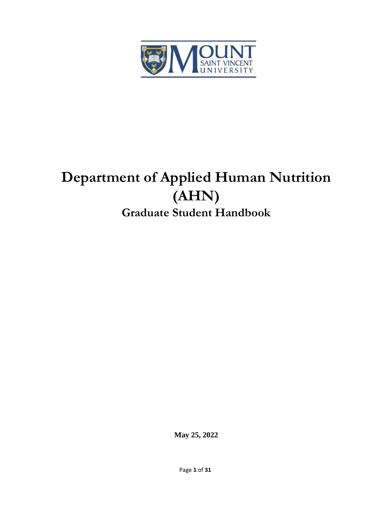

# **Department of Applied Human Nutrition (AHN) Graduate Student Handbook**

**May 25, 2022**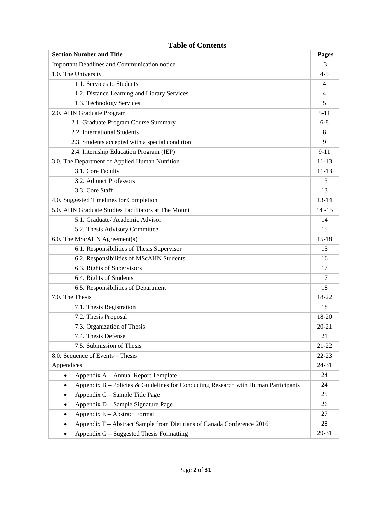## **Section Number and Title Pages** Important Deadlines and Communication notice 3 1.0. The University 4-5 1.1. Services to Students 4 1.2. Distance Learning and Library Services 4 1.3. Technology Services 5 2.0. AHN Graduate Program 5-11 2.1. Graduate Program Course Summary 6-8 2.2. International Students 8 2.3. Students accepted with a special condition 9 2.4. Internship Education Program (IEP) 9-11 3.0. The Department of Applied Human Nutrition 11-13 3.1. Core Faculty 11-13 3.2. Adjunct Professors 13 3.3. Core Staff 13 4.0. Suggested Timelines for Completion 13-14 5.0. AHN Graduate Studies Facilitators at The Mount 14 -15 5.1. Graduate/Academic Advisor 14 5.2. Thesis Advisory Committee 15 6.0. The MScAHN Agreement(s) 15-18 6.1. Responsibilities of Thesis Supervisor 15 6.2. Responsibilities of MScAHN Students 16 6.3. Rights of Supervisors 17 6.4. Rights of Students 17 6.5. Responsibilities of Department 18 7.0. The Thesis 18-22 7.1. Thesis Registration 18 7.2. Thesis Proposal 18-20 7.3. Organization of Thesis 20-21 7.4. Thesis Defense 21 7.5. Submission of Thesis 21-22 8.0. Sequence of Events – Thesis 22-23 Appendices 24-31 • Appendix A – Annual Report Template 24 • Appendix B – Policies & Guidelines for Conducting Research with Human Participants 24 • Appendix C – Sample Title Page 25 • Appendix D – Sample Signature Page 26 • Appendix E – Abstract Format 27 • Appendix F – Abstract Sample from Dietitians of Canada Conference 2016 28 • Appendix G – Suggested Thesis Formatting 29-31

#### **Table of Contents**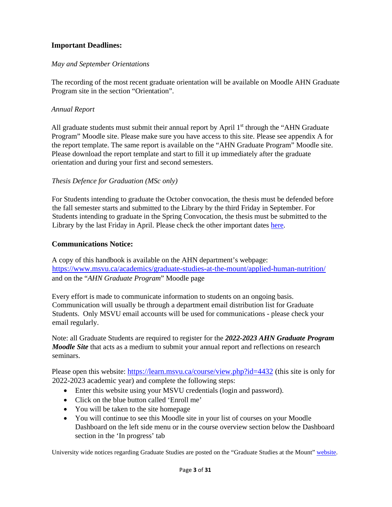## **Important Deadlines:**

#### *May and September Orientations*

The recording of the most recent graduate orientation will be available on Moodle AHN Graduate Program site in the section "Orientation".

#### *Annual Report*

All graduate students must submit their annual report by April  $1<sup>st</sup>$  through the "AHN Graduate" Program" Moodle site. Please make sure you have access to this site. Please see appendix A for the report template. The same report is available on the "AHN Graduate Program" Moodle site. Please download the report template and start to fill it up immediately after the graduate orientation and during your first and second semesters.

#### *Thesis Defence for Graduation (MSc only)*

For Students intending to graduate the October convocation, the thesis must be defended before the fall semester starts and submitted to the Library by the third Friday in September. For Students intending to graduate in the Spring Convocation, the thesis must be submitted to the Library by the last Friday in April. Please check the other important dates [here.](https://www.msvu.ca/campus-life/registrars-office/important-dates-in-the-university-year/)

#### **Communications Notice:**

A copy of this handbook is available on the AHN department's webpage: <https://www.msvu.ca/academics/graduate-studies-at-the-mount/applied-human-nutrition/> and on the "*AHN Graduate Program*" Moodle page

Every effort is made to communicate information to students on an ongoing basis. Communication will usually be through a department email distribution list for Graduate Students. Only MSVU email accounts will be used for communications - please check your email regularly.

Note: all Graduate Students are required to register for the *2022-2023 AHN Graduate Program Moodle Site* that acts as a medium to submit your annual report and reflections on research seminars.

Please open this website:<https://learn.msvu.ca/course/view.php?id=4432> (this site is only for 2022-2023 academic year) and complete the following steps:

- Enter this website using your MSVU credentials (login and password).
- Click on the blue button called 'Enroll me'
- You will be taken to the site homepage
- You will continue to see this Moodle site in your list of courses on your Moodle Dashboard on the left side menu or in the course overview section below the Dashboard section in the 'In progress' tab

University wide notices regarding Graduate Studies are posted on the "Graduate Studies at the Mount[" website.](http://www.msvu.ca/en/home/programsdepartments/graduatestudiesatthemount/default.aspx)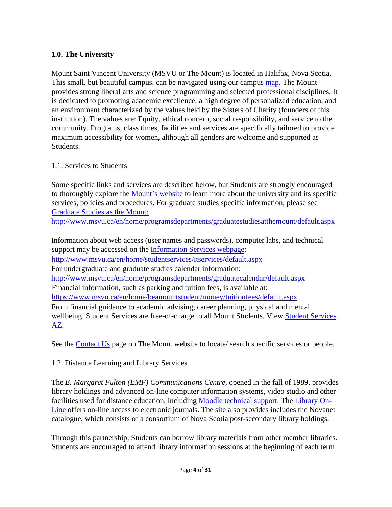## **1.0. The University**

Mount Saint Vincent University (MSVU or The Mount) is located in Halifax, Nova Scotia. This small, but beautiful campus, can be navigated using our campus [map.](http://www.msvu.ca/en/home/aboutus/emergencyproceduresguide/campusmap.aspx) The Mount provides strong liberal arts and science programming and selected professional disciplines. It is dedicated to promoting academic excellence, a high degree of personalized education, and an environment characterized by the values held by the Sisters of Charity (founders of this institution). The values are: Equity, ethical concern, social responsibility, and service to the community. Programs, class times, facilities and services are specifically tailored to provide maximum accessibility for women, although all genders are welcome and supported as Students.

#### 1.1. Services to Students

Some specific links and services are described below, but Students are strongly encouraged to thoroughly explore the [Mount's website](http://www.msvu.ca/en/home/default.aspx) to learn more about the university and its specific services, policies and procedures. For graduate studies specific information, please see [Graduate Studies as the Mount:](http://www.msvu.ca/en/home/programsdepartments/graduatestudiesatthemount/default.aspx) <http://www.msvu.ca/en/home/programsdepartments/graduatestudiesatthemount/default.aspx>

Information about web access (user names and passwords), computer labs, and technical support may be accessed on the [Information Services webpage:](http://www.msvu.ca/en/home/studentservices/itservices/default.aspx) <http://www.msvu.ca/en/home/studentservices/itservices/default.aspx> For undergraduate and graduate studies calendar information: <http://www.msvu.ca/en/home/programsdepartments/graduatecalendar/default.aspx> Financial information, such as parking and tuition fees, is available at: <https://www.msvu.ca/en/home/beamountstudent/money/tuitionfees/default.aspx> From financial guidance to academic advising, career planning, physical and mental wellbeing, Student Services are free-of-charge to all Mount Students. View [Student](https://www.msvu.ca/campus-life/a-z-list/) [Services](http://www.msvu.ca/en/home/studentservices/default.aspx)  [AZ.](http://www.msvu.ca/en/home/studentservices/default.aspx) 

See the [Contact Us](http://www.msvu.ca/en/home/aboutus/contactthemount.aspx) [p](http://www.msvu.ca/en/home/aboutus/contactthemount.aspx)age on The Mount website to locate/ search specific services or people.

1.2. Distance Learning and Library Services

The *E. Margaret Fulton (EMF) Communications Centre,* opened in the fall of 1989, provides library holdings and advanced on-line computer information systems, video studio and other facilities used for distance education, including [Moodle technical support](https://www.msvu.ca/academics/teaching-and-learning-centre-and-online-learning/mount-online-learning-platform/)[.](http://www.msvu.ca/en/home/programsdepartments/distancelearning/MoodleCollaborate/technicalsupport/default.aspx) The [Library On-](http://www.msvu.ca/en/home/library/default.aspx)[Line](http://www.msvu.ca/en/home/library/default.aspx) offers on-line access to electronic journals. The site also provides includes the Novanet catalogue, which consists of a consortium of Nova Scotia post-secondary library holdings.

Through this partnership, Students can borrow library materials from other member libraries. Students are encouraged to attend library information sessions at the beginning of each term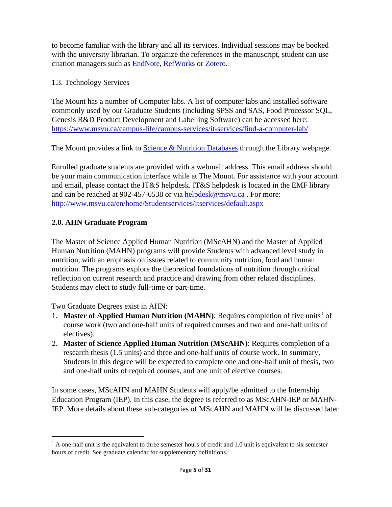to become familiar with the library and all its services. Individual sessions may be booked with the university librarian. To organize the references in the manuscript, student can use citation managers such as [EndNote,](https://endnote.com/product-details/basic/) [RefWorks](https://exlibrisgroup.com/products/refworks-reference-management/) or [Zotero.](https://www.zotero.org/)

1.3. Technology Services

The Mount has a number of Computer labs. A list of computer labs and installed software commonly used by our Graduate Students (including SPSS and SAS, Food Processor SQL, Genesis R&D Product Development and Labelling Software) can be accessed here: <https://www.msvu.ca/campus-life/campus-services/it-services/find-a-computer-lab/>

The Mount provides a link to [Science & Nutrition Databases](http://libguides.msvu.ca/nutrition) [t](http://libguides.msvu.ca/nutrition)hrough the Library webpage.

Enrolled graduate students are provided with a webmail address. This email address should be your main communication interface while at The Mount. For assistance with your account and email, please contact the IT&S helpdesk. IT&S helpdesk is located in the EMF library and can be reached at 902-457-6538 or via [helpdesk@msvu.ca](mailto:helpdesk@msvu.ca) . For more: [http://www.msvu.ca/en/home/Studentservices/itservices/default.aspx](http://www.msvu.ca/en/home/studentservices/itservices/default.aspx) 

# **2.0[.](http://www.msvu.ca/en/home/programsdepartments/graduatestudiesatthemount/appliedhumannutrition/default.aspx) [AHN Graduate Program](https://www.msvu.ca/en/home/programsdepartments/graduatestudiesatthemount/appliedhumannutrition/default.aspx)**

The Master of Science Applied Human Nutrition (MScAHN) and the Master of Applied Human Nutrition (MAHN) programs will provide Students with advanced level study in nutrition, with an emphasis on issues related to community nutrition, food and human nutrition. The programs explore the theoretical foundations of nutrition through critical reflection on current research and practice and drawing from other related disciplines. Students may elect to study full-time or part-time.

Two Graduate Degrees exist in AHN:

- [1](#page-4-0). **Master of Applied Human Nutrition (MAHN)**: Requires completion of five units<sup>1</sup> of course work (two and one-half units of required courses and two and one-half units of electives).
- 2. **Master of Science Applied Human Nutrition (MScAHN)**: Requires completion of a research thesis (1.5 units) and three and one-half units of course work. In summary, Students in this degree will be expected to complete one and one-half unit of thesis, two and one-half units of required courses, and one unit of elective courses.

In some cases, MScAHN and MAHN Students will apply/be admitted to the Internship Education Program (IEP). In this case, the degree is referred to as MScAHN-IEP or MAHN-IEP. More details about these sub-categories of MScAHN and MAHN will be discussed later

<span id="page-4-0"></span><sup>&</sup>lt;sup>1</sup> A one-half unit is the equivalent to three semester hours of credit and 1.0 unit is equivalent to six semester hours of credit. See graduate calendar for supplementary definitions.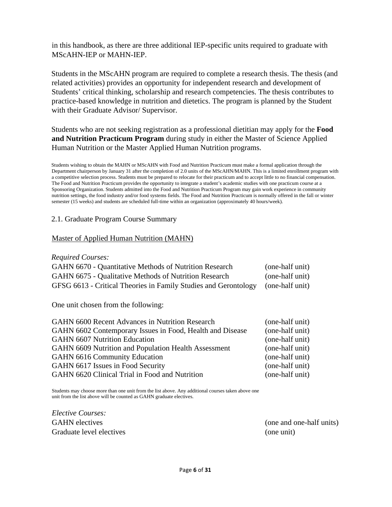in this handbook, as there are three additional IEP-specific units required to graduate with MScAHN-IEP or MAHN-IEP.

Students in the MScAHN program are required to complete a research thesis. The thesis (and related activities) provides an opportunity for independent research and development of Students' critical thinking, scholarship and research competencies. The thesis contributes to practice-based knowledge in nutrition and dietetics. The program is planned by the Student with their Graduate Advisor/ Supervisor.

Students who are not seeking registration as a professional dietitian may apply for the **Food and Nutrition Practicum Program** during study in either the Master of Science Applied Human Nutrition or the Master Applied Human Nutrition programs.

Students wishing to obtain the MAHN or MScAHN with Food and Nutrition Practicum must make a formal application through the Department chairperson by January 31 after the completion of 2.0 units of the MScAHN/MAHN. This is a limited enrollment program with a competitive selection process. Students must be prepared to relocate for their practicum and to accept little to no financial compensation. The Food and Nutrition Practicum provides the opportunity to integrate a student's academic studies with one practicum course at a Sponsoring Organization. Students admitted into the Food and Nutrition Practicum Program may gain work experience in community nutrition settings, the food industry and/or food systems fields. The Food and Nutrition Practicum is normally offered in the fall or winter semester (15 weeks) and students are scheduled full-time within an organization (approximately 40 hours/week).

#### 2.1. Graduate Program Course Summary

#### Master of Applied Human Nutrition (MAHN)

#### *Required Courses:*

| GAHN 6670 - Quantitative Methods of Nutrition Research                          | (one-half unit) |
|---------------------------------------------------------------------------------|-----------------|
| <b>GAHN 6675 - Qualitative Methods of Nutrition Research</b>                    | (one-half unit) |
| GFSG 6613 - Critical Theories in Family Studies and Gerontology (one-half unit) |                 |

One unit chosen from the following:

| <b>GAHN 6600 Recent Advances in Nutrition Research</b>    | (one-half unit) |
|-----------------------------------------------------------|-----------------|
| GAHN 6602 Contemporary Issues in Food, Health and Disease | (one-half unit) |
| <b>GAHN 6607 Nutrition Education</b>                      | (one-half unit) |
| GAHN 6609 Nutrition and Population Health Assessment      | (one-half unit) |
| <b>GAHN 6616 Community Education</b>                      | (one-half unit) |
| GAHN 6617 Issues in Food Security                         | (one-half unit) |
| GAHN 6620 Clinical Trial in Food and Nutrition            | (one-half unit) |

Students may choose more than one unit from the list above. Any additional courses taken above one unit from the list above will be counted as GAHN graduate electives.

*Elective Courses:* GAHN electives Graduate level electives

(one and one-half units) (one unit)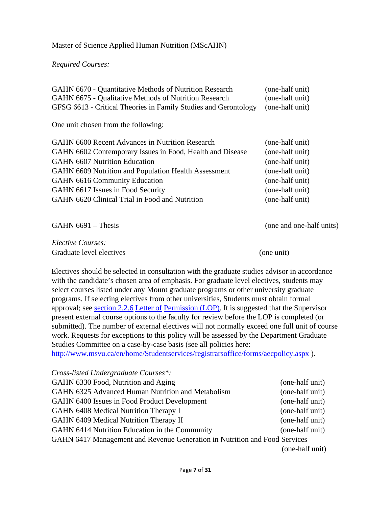#### Master of Science Applied Human Nutrition (MScAHN)

#### *Required Courses:*

| GAHN 6670 - Quantitative Methods of Nutrition Research          | (one-half unit)          |
|-----------------------------------------------------------------|--------------------------|
| GAHN 6675 - Qualitative Methods of Nutrition Research           | (one-half unit)          |
| GFSG 6613 - Critical Theories in Family Studies and Gerontology | (one-half unit)          |
| One unit chosen from the following:                             |                          |
| <b>GAHN 6600 Recent Advances in Nutrition Research</b>          | (one-half unit)          |
| GAHN 6602 Contemporary Issues in Food, Health and Disease       | (one-half unit)          |
| <b>GAHN 6607 Nutrition Education</b>                            | (one-half unit)          |
| GAHN 6609 Nutrition and Population Health Assessment            | (one-half unit)          |
| <b>GAHN 6616 Community Education</b>                            | (one-half unit)          |
| GAHN 6617 Issues in Food Security                               | (one-half unit)          |
| GAHN 6620 Clinical Trial in Food and Nutrition                  | (one-half unit)          |
|                                                                 |                          |
| $GAHN 6691 - Thesis$                                            | (one and one-half units) |

*Elective Courses:* Graduate level electives (one unit)

Electives should be selected in consultation with the graduate studies advisor in accordance with the candidate's chosen area of emphasis. For graduate level electives, students may select courses listed under any Mount graduate programs or other university graduate programs. If selecting electives from other universities, Students must obtain formal approval; see <u>section 2.2.6</u> [Letter of](https://www.msvu.ca/wp-content/uploads/2020/05/LOP-2020.pdf) [Permission \(LOP\)](https://www.msvu.ca/academics/university-academic-calendars/graduate-academic-calendar/regulations/2-2-6-letter-of-permission-lop/)[.](http://www.msvu.ca/site/media/msvu/AEC(1).pdf) It is suggested that the Supervisor present external course options to the faculty for review before the LOP is completed (or submitted). The number of external electives will not normally exceed one full unit of course work. Requests for exceptions to this policy will be assessed by the Department Graduate Studies Committee on a case-by-case basis (see all policies here: [http://www.msvu.ca/en/home/Studentservices/registrarsoffice/forms/aecpolicy.aspx](http://www.msvu.ca/en/home/studentservices/registrarsoffice/forms/aecpolicy.aspx) ).

| Cross-listed Undergraduate Courses*:                                       |                 |
|----------------------------------------------------------------------------|-----------------|
| GAHN 6330 Food, Nutrition and Aging                                        | (one-half unit) |
| GAHN 6325 Advanced Human Nutrition and Metabolism                          | (one-half unit) |
| GAHN 6400 Issues in Food Product Development                               | (one-half unit) |
| GAHN 6408 Medical Nutrition Therapy I                                      | (one-half unit) |
| GAHN 6409 Medical Nutrition Therapy II                                     | (one-half unit) |
| GAHN 6414 Nutrition Education in the Community                             | (one-half unit) |
| GAHN 6417 Management and Revenue Generation in Nutrition and Food Services |                 |
|                                                                            | (one-half unit) |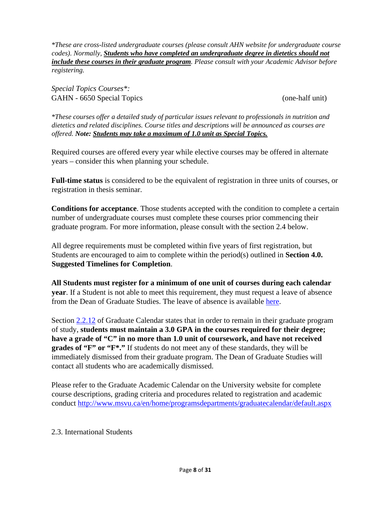*\*These are cross-listed undergraduate courses (please consult AHN website for undergraduate course codes). Normally, Students who have completed an undergraduate degree in dietetics should not include these courses in their graduate program. Please consult with your Academic Advisor before registering.* 

*Special Topics Courses\*:*  GAHN - 6650 Special Topics (one-half unit)

*\*These courses offer a detailed study of particular issues relevant to professionals in nutrition and dietetics and related disciplines. Course titles and descriptions will be announced as courses are offered. Note: Students may take a maximum of 1.0 unit as Special Topics.* 

Required courses are offered every year while elective courses may be offered in alternate years – consider this when planning your schedule.

**Full-time status** is considered to be the equivalent of registration in three units of courses, or registration in thesis seminar.

**Conditions for acceptance**. Those students accepted with the condition to complete a certain number of undergraduate courses must complete these courses prior commencing their graduate program. For more information, please consult with the section 2.4 below.

All degree requirements must be completed within five years of first registration, but Students are encouraged to aim to complete within the period(s) outlined in **Section 4.0. Suggested Timelines for Completion**.

**All Students must register for a minimum of one unit of courses during each calendar year**. If a Student is not able to meet this requirement, they must request a leave of absence from the Dean of Graduate Studies. The leave of absence is available [here.](https://www.msvu.ca/wp-content/uploads/2020/05/Leave20of20Absence20Form20and20Policy20-20Revised20Winter202016.pdf)

Section [2.2.12](https://www.msvu.ca/academics/university-academic-calendars/graduate-academic-calendar/regulations/) of Graduate Calendar states that in order to remain in their graduate program of study, **students must maintain a 3.0 GPA in the courses required for their degree; have a grade of "C" in no more than 1.0 unit of coursework, and have not received grades of "F" or "F\*."** If students do not meet any of these standards, they will be immediately dismissed from their graduate program. The Dean of Graduate Studies will contact all students who are academically dismissed.

Please refer to the Graduate Academic Calendar on the University website for complete course descriptions, grading criteria and procedures related to registration and academic conduc[t](http://www.msvu.ca/en/home/programsdepartments/graduatecalendar/default.aspx) <http://www.msvu.ca/en/home/programsdepartments/graduatecalendar/default.aspx>

#### 2.3. International Students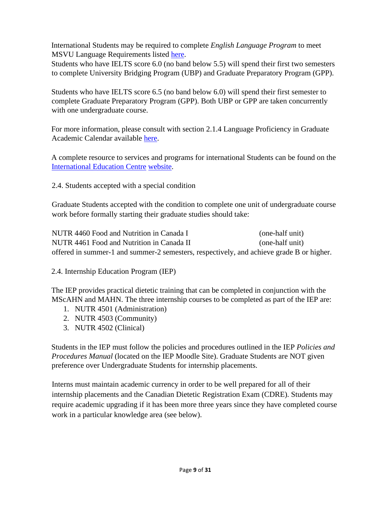International Students may be required to complete *English Language Program* to meet MSVU Language Requirements listed [here.](https://www.msvu.ca/international/english-language-development/english-test-score-requirements/)

Students who have IELTS score 6.0 (no band below 5.5) will spend their first two semesters to complete University Bridging Program (UBP) and Graduate Preparatory Program (GPP).

Students who have IELTS score 6.5 (no band below 6.0) will spend their first semester to complete Graduate Preparatory Program (GPP). Both UBP or GPP are taken concurrently with one undergraduate course.

For more information, please consult with section 2.1.4 Language Proficiency in Graduate Academic Calendar available [here.](https://www.msvu.ca/academics/university-academic-calendars/graduate-academic-calendar/admissions/)

A complete resource to services and programs for international Students can be found on the [International Education Centre](http://www.msvu.ca/en/home/beamountstudent/internationaleducationcentre/default.aspx) [website.](http://www.msvu.ca/en/home/beamountstudent/internationaleducationcentre/default.aspx) 

2.4. Students accepted with a special condition

Graduate Students accepted with the condition to complete one unit of undergraduate course work before formally starting their graduate studies should take:

NUTR 4460 Food and Nutrition in Canada I (one-half unit) NUTR 4461 Food and Nutrition in Canada II (one-half unit) offered in summer-1 and summer-2 semesters, respectively, and achieve grade B or higher.

2.4. Internship Education Program (IEP)

The IEP provides practical dietetic training that can be completed in conjunction with the MScAHN and MAHN. The three internship courses to be completed as part of the IEP are:

- 1. NUTR 4501 (Administration)
- 2. NUTR 4503 (Community)
- 3. NUTR 4502 (Clinical)

Students in the IEP must follow the policies and procedures outlined in the IEP *Policies and Procedures Manual* (located on the IEP Moodle Site). Graduate Students are NOT given preference over Undergraduate Students for internship placements.

Interns must maintain academic currency in order to be well prepared for all of their internship placements and the Canadian Dietetic Registration Exam (CDRE). Students may require academic upgrading if it has been more three years since they have completed course work in a particular knowledge area (see below).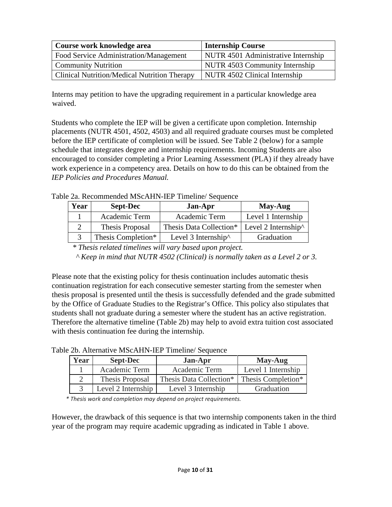| Course work knowledge area                          | <b>Internship Course</b>            |
|-----------------------------------------------------|-------------------------------------|
| Food Service Administration/Management              | NUTR 4501 Administrative Internship |
| <b>Community Nutrition</b>                          | NUTR 4503 Community Internship      |
| <b>Clinical Nutrition/Medical Nutrition Therapy</b> | NUTR 4502 Clinical Internship       |

Interns may petition to have the upgrading requirement in a particular knowledge area waived.

Students who complete the IEP will be given a certificate upon completion. Internship placements (NUTR 4501, 4502, 4503) and all required graduate courses must be completed before the IEP certificate of completion will be issued. See Table 2 (below) for a sample schedule that integrates degree and internship requirements. Incoming Students are also encouraged to consider completing a Prior Learning Assessment (PLA) if they already have work experience in a competency area. Details on how to do this can be obtained from the *IEP Policies and Procedures Manual.*

Table 2a. Recommended MScAHN-IEP Timeline/ Sequence

| Year | <b>Sept-Dec</b>    | Jan-Apr                     | May-Aug                     |
|------|--------------------|-----------------------------|-----------------------------|
|      | Academic Term      | Academic Term               | Level 1 Internship          |
|      | Thesis Proposal    | Thesis Data Collection*     | Level 2 Internship $\wedge$ |
|      | Thesis Completion* | Level 3 Internship $\wedge$ | Graduation                  |

*\* Thesis related timelines will vary based upon project.* 

*^ Keep in mind that NUTR 4502 (Clinical) is normally taken as a Level 2 or 3.*

Please note that the existing policy for thesis continuation includes automatic thesis continuation registration for each consecutive semester starting from the semester when thesis proposal is presented until the thesis is successfully defended and the grade submitted by the Office of Graduate Studies to the Registrar's Office. This policy also stipulates that students shall not graduate during a semester where the student has an active registration. Therefore the alternative timeline (Table 2b) may help to avoid extra tuition cost associated with thesis continuation fee during the internship.

Table 2b. Alternative MScAHN-IEP Timeline/ Sequence

| Year | <b>Sept-Dec</b>    | <b>Jan-Apr</b>          | May-Aug            |
|------|--------------------|-------------------------|--------------------|
|      | Academic Term      | Academic Term           | Level 1 Internship |
|      | Thesis Proposal    | Thesis Data Collection* | Thesis Completion* |
|      | Level 2 Internship | Level 3 Internship      | Graduation         |

*\* Thesis work and completion may depend on project requirements.*

However, the drawback of this sequence is that two internship components taken in the third year of the program may require academic upgrading as indicated in Table 1 above.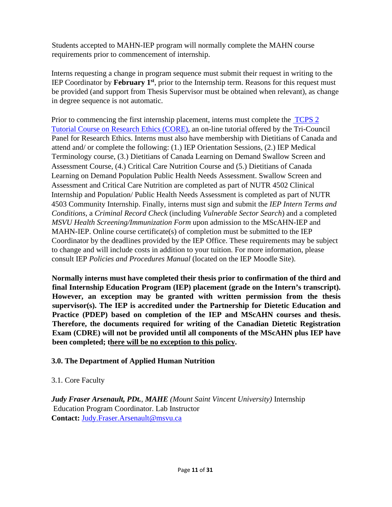Students accepted to MAHN-IEP program will normally complete the MAHN course requirements prior to commencement of internship.

Interns requesting a change in program sequence must submit their request in writing to the IEP Coordinator by **February 1st**, prior to the Internship term. Reasons for this request must be provided (and support from Thesis Supervisor must be obtained when relevant), as change in degree sequence is not automatic.

Prior to commencing the first internship placement, interns must complete the[TCPS 2](https://tcps2core.ca/welcome) [Tutorial Course on Research Ethics \(CORE\)](https://tcps2core.ca/welcome)[,](http://www.pre.ethics.gc.ca/eng/education/tutorial-didacticiel/) an on-line tutorial offered by the Tri-Council Panel for Research Ethics. Interns must also have membership with Dietitians of Canada and attend and/ or complete the following: (1.) IEP Orientation Sessions, (2.) IEP Medical Terminology course, (3.) Dietitians of Canada Learning on Demand Swallow Screen an[d](https://www.dietitians.ca/Learn/Distance-Learning/LODStoreProduct.aspx?guid=c8e84b7e-3002-4afb-b0d4-3feaaf5d763b) Assessment [C](https://www.dietitians.ca/Learn/Distance-Learning/LODStoreProduct.aspx?guid=c8e84b7e-3002-4afb-b0d4-3feaaf5d763b)ourse, (4.) [C](https://www.dietitians.ca/Store/Product.aspx?skuid=42)ritical Care Nutritio[n](https://www.dietitians.ca/Store/Product.aspx?skuid=42) Course and (5.) Dietitians of Canada Learning on Demand Population Public Health Needs Assessmen[t.](https://www.dietitians.ca/Learn/Distance-Learning/LODStoreProduct.aspx?guid=4d61d92f-4a17-4186-a1da-a35d864d48e7) Swallow Screen and Assessment and Critical Care Nutrition are completed as part of NUTR 4502 Clinical Internship and Population/ Public Health Needs Assessment is completed as part of NUTR 4503 Community Internship. Finally, interns must sign and submit the *IEP Intern Terms and Conditions*, a *Criminal Record Check* (including *Vulnerable Sector Search*) and a completed *MSVU Health Screening/Immunization Form* upon admission to the MScAHN-IEP and MAHN-IEP. Online course certificate(s) of completion must be submitted to the IEP Coordinator by the deadlines provided by the IEP Office. These requirements may be subject to change and will include costs in addition to your tuition. For more information, please consult IEP *Policies and Procedures Manual* (located on the IEP Moodle Site).

**Normally interns must have completed their thesis prior to confirmation of the third and final Internship Education Program (IEP) placement (grade on the Intern's transcript). However, an exception may be granted with written permission from the thesis supervisor(s). The IEP is accredited under the Partnership for Dietetic Education and Practice (PDEP) based on completion of the IEP and MScAHN courses and thesis. Therefore, the documents required for writing of the Canadian Dietetic Registration Exam (CDRE) will not be provided until all components of the MScAHN plus IEP have been completed; there will be no exception to this policy.** 

## **3.0. The Department of Applied Human Nutrition**

## 3.1. Core Faculty

*Judy Fraser Arsenault, PDt.*, *MAHE (Mount Saint Vincent University)* Internship Education Program Coordinator. Lab Instructor **Contact:** Judy.Fraser.Arsenault@msvu.ca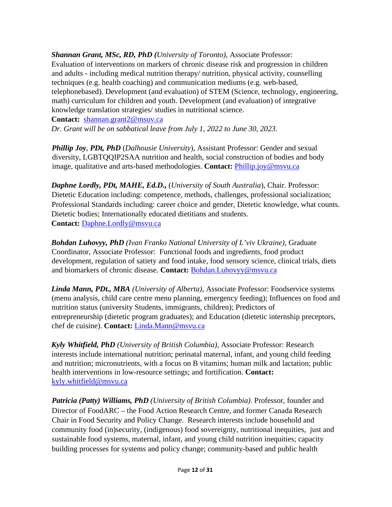*Shannan Grant, MSc, RD, PhD (University of Toronto),* Associate Professor: Evaluation of interventions on markers of chronic disease risk and progression in children and adults - including medical nutrition therapy/ nutrition, physical activity, counselling techniques (e.g. health coaching) and communication mediums (e.g. web-based, telephonebased). Development (and evaluation) of STEM (Science, technology, engineering, math) curriculum for children and youth. Development (and evaluation) of integrative knowledge translation strategies/ studies in nutritional science.

**Contact:** shannan.grant2@msuv.ca

*Dr. Grant will be on sabbatical leave from July 1, 2022 to June 30, 2023.* 

*Phillip Joy*, *PDt, PhD* (*Dalhousie University*), Assistant Professor: Gender and sexual diversity, LGBTQQIP2SAA nutrition and health, social construction of bodies and body image, qualitative and arts-based methodologies. **Contact:** Phillip.joy@msvu.ca

*Daphne Lordly, PDt, MAHE, Ed.D.,* (*University of South Australia*), Chair. Professor: Dietetic Education including: competence, methods, challenges, professional socialization; Professional Standards including: career choice and gender, Dietetic knowledge, what counts. Dietetic bodies; Internationally educated dietitians and students. **Contact:** Daphne.Lordly@msvu.ca

*Bohdan Luhovyy, PhD (Ivan Franko National University of L'viv Ukraine),* Graduate Coordinator, Associate Professor: Functional foods and ingredients, food product development, regulation of satiety and food intake, food sensory science, clinical trials, diets and biomarkers of chronic disease. **Contact:** Bohdan.Luhovyy@msvu.ca

*Linda Mann, PDt., MBA (University of Alberta),* Associate Professor: Foodservice systems (menu analysis, child care centre menu planning, emergency feeding); Influences on food and nutrition status (university Students, immigrants, children); Predictors of entrepreneurship (dietetic program graduates); and Education (dietetic internship preceptors, chef de cuisine). **Contact:** Linda.Mann@msvu.ca

*Kyly Whitfield, PhD (University of British Columbia),* Associate Professor: Research interests include international nutrition; perinatal maternal, infant, and young child feeding and nutrition; micronutrients, with a focus on B vitamins; human milk and lactation; public health interventions in low-resource settings; and fortification. **Contact:**  kyly.whitfield@msvu.ca

*Patricia (Patty) Williams, PhD (University of British Columbia)*. Professor, founder and Director of FoodARC – the Food Action Research Centre, and former Canada Research Chair in Food Security and Policy Change. Research interests include household and community food (in)security, (indigenous) food sovereignty, nutritional inequities, just and sustainable food systems, maternal, infant, and young child nutrition inequities; capacity building processes for systems and policy change; community-based and public health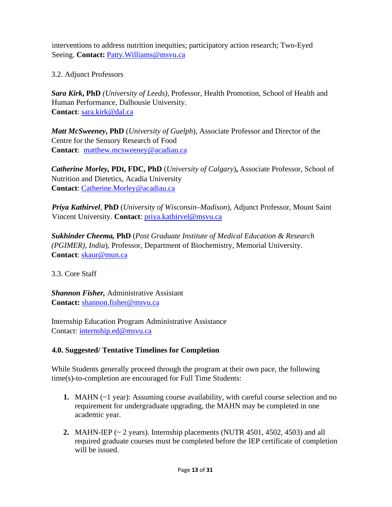interventions to address nutrition inequities; participatory action research; Two-Eyed Seeing. **Contact:** Patty.Williams@msvu.ca

3.2. Adjunct Professors

*Sara Kirk***, PhD** *(University of Leeds),* Professor, Health Promotion, School of Health and Human Performance, Dalhousie University. **Contact**: [sara.kirk@dal.ca](mailto:sara.kirk@dal.ca)

*Matt McSweeney***, PhD** (*University of Guelph*), Associate Professor and Director of the Centre for the Sensory Research of Food **Contact**: matthew.mcsweeney@acadiau.ca

*Catherine Morley,* **PDt, FDC, PhD** (*University of Calgary*)**,** Associate Professor, School of Nutrition and Dietetics, Acadia University **Contact**: Catherine.Morley@acadiau.ca

*Priya Kathirvel*, **PhD** (*University of Wisconsin–Madison*), Adjunct Professor, Mount Saint Vincent University. **Contact**: [priya.kathirvel@msvu.ca](mailto:priya.kathirvel@msvu.ca) 

*Sukhinder Cheema,* **PhD** (*Post Graduate Institute of Medical Education & Research (PGIMER), India*), Professor, Department of Biochemistry, Memorial University. **Contact**: [skaur@mun.ca](mailto:skaur@mun.ca) 

3.3. Core Staff

*Shannon Fisher,* Administrative Assistant **Contact:** shannon.fisher@msvu.ca

Internship Education Program Administrative Assistance Contact: [internship.ed@msvu.ca](mailto:internship.ed@msvu.ca) 

## **4.0. Suggested/ Tentative Timelines for Completion**

While Students generally proceed through the program at their own pace, the following time(s)-to-completion are encouraged for Full Time Students:

- **1.** MAHN (~1 year): Assuming course availability, with careful course selection and no requirement for undergraduate upgrading, the MAHN may be completed in one academic year.
- **2.** MAHN-IEP (~ 2 years). Internship placements (NUTR 4501, 4502, 4503) and all required graduate courses must be completed before the IEP certificate of completion will be issued.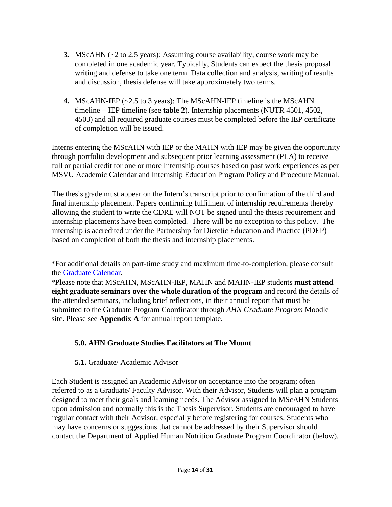- **3.** MScAHN (~2 to 2.5 years): Assuming course availability, course work may be completed in one academic year. Typically, Students can expect the thesis proposal writing and defense to take one term. Data collection and analysis, writing of results and discussion, thesis defense will take approximately two terms.
- **4.** MScAHN-IEP (~2.5 to 3 years): The MScAHN-IEP timeline is the MScAHN timeline + IEP timeline (see **table 2**). Internship placements (NUTR 4501, 4502, 4503) and all required graduate courses must be completed before the IEP certificate of completion will be issued.

Interns entering the MScAHN with IEP or the MAHN with IEP may be given the opportunity through portfolio development and subsequent prior learning assessment (PLA) to receive full or partial credit for one or more Internship courses based on past work experiences as per MSVU Academic Calendar and Internship Education Program Policy and Procedure Manual.

The thesis grade must appear on the Intern's transcript prior to confirmation of the third and final internship placement. Papers confirming fulfilment of internship requirements thereby allowing the student to write the CDRE will NOT be signed until the thesis requirement and internship placements have been completed. There will be no exception to this policy. The internship is accredited under the Partnership for Dietetic Education and Practice (PDEP) based on completion of both the thesis and internship placements.

\*For additional details on part-time study and maximum time-to-completion, please consult the [Graduate Calendar.](http://www.msvu.ca/en/home/programsdepartments/academiccalendars/graduatecalendar/default.aspx) 

\*Please note that MScAHN, MScAHN-IEP, MAHN and MAHN-IEP students **must attend eight graduate seminars over the whole duration of the program** and record the details of the attended seminars, including brief reflections, in their annual report that must be submitted to the Graduate Program Coordinator through *AHN Graduate Program* Moodle site. Please see **Appendix A** for annual report template.

## **5.0. AHN Graduate Studies Facilitators at The Mount**

## **5.1.** Graduate/ Academic Advisor

Each Student is assigned an Academic Advisor on acceptance into the program; often referred to as a Graduate/ Faculty Advisor. With their Advisor, Students will plan a program designed to meet their goals and learning needs. The Advisor assigned to MScAHN Students upon admission and normally this is the Thesis Supervisor. Students are encouraged to have regular contact with their Advisor, especially before registering for courses. Students who may have concerns or suggestions that cannot be addressed by their Supervisor should contact the Department of Applied Human Nutrition Graduate Program Coordinator (below).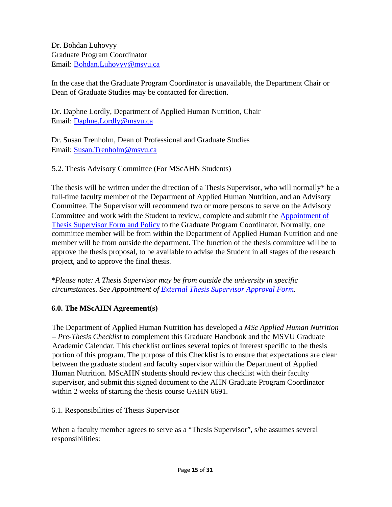Dr. Bohdan Luhovyy Graduate Program Coordinator Email: Bohdan.Luhovyy@msvu.ca

In the case that the Graduate Program Coordinator is unavailable, the Department Chair or Dean of Graduate Studies may be contacted for direction.

Dr. Daphne Lordly, Department of Applied Human Nutrition, Chair Email: Daphne.Lordly@msvu.ca

Dr. Susan Trenholm, Dean of Professional and Graduate Studies Email: [Susan.Trenholm@msvu.ca](mailto:Susan.Trenholm@msvu.ca)

5.2. Thesis Advisory Committee (For MScAHN Students)

The thesis will be written under the direction of a Thesis Supervisor, who will normally\* be a full-time faculty member of the Department of Applied Human Nutrition, and an Advisory Committee. The Supervisor will recommend two or more persons to serve on the Advisory Committee and work with the Student to review, complete and submit the [Appointment of](http://www.msvu.ca/en/home/programsdepartments/graduatestudiesatthemount/thesisrequirementforms.aspx) [Thesis Supervisor](http://www.msvu.ca/en/home/programsdepartments/graduatestudiesatthemount/thesisrequirementforms.aspx) [Form and Policy](http://www.msvu.ca/en/home/programsdepartments/graduatestudiesatthemount/thesisrequirementforms.aspx) to the Graduate Program Coordinator. Normally, one committee member will be from within the Department of Applied Human Nutrition and one member will be from outside the department. The function of the thesis committee will be to approve the thesis proposal, to be available to advise the Student in all stages of the research project, and to approve the final thesis.

*\*Please note: A Thesis Supervisor may be from outside the university in specific circumstances. See Appointment of [External Thesis Supervisor](https://www.msvu.ca/academics/graduate-studies-at-the-mount/thesis-requirement-forms/) [Approval Form.](http://www.msvu.ca/site/media/msvu/Documents/Appt%20of%20External%20Thesis%20Supervisor%20Form%20and%20Policy%20-%20REVISED%20F2014(1).pdf)* 

## **6.0. The MScAHN Agreement(s)**

The Department of Applied Human Nutrition has developed a *MSc Applied Human Nutrition – Pre-Thesis Checklist* to complement this Graduate Handbook and the MSVU Graduate Academic Calendar. This checklist outlines several topics of interest specific to the thesis portion of this program. The purpose of this Checklist is to ensure that expectations are clear between the graduate student and faculty supervisor within the Department of Applied Human Nutrition. MScAHN students should review this checklist with their faculty supervisor, and submit this signed document to the AHN Graduate Program Coordinator within 2 weeks of starting the thesis course GAHN 6691.

6.1. Responsibilities of Thesis Supervisor

When a faculty member agrees to serve as a "Thesis Supervisor", s/he assumes several responsibilities: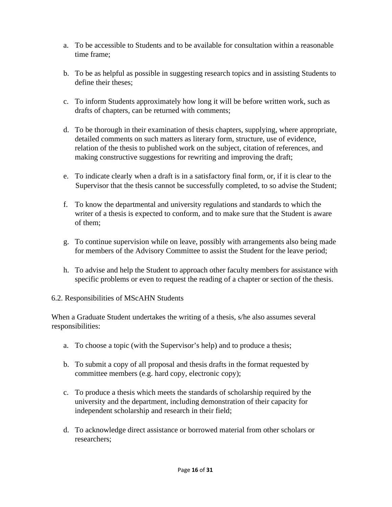- a. To be accessible to Students and to be available for consultation within a reasonable time frame;
- b. To be as helpful as possible in suggesting research topics and in assisting Students to define their theses;
- c. To inform Students approximately how long it will be before written work, such as drafts of chapters, can be returned with comments;
- d. To be thorough in their examination of thesis chapters, supplying, where appropriate, detailed comments on such matters as literary form, structure, use of evidence, relation of the thesis to published work on the subject, citation of references, and making constructive suggestions for rewriting and improving the draft;
- e. To indicate clearly when a draft is in a satisfactory final form, or, if it is clear to the Supervisor that the thesis cannot be successfully completed, to so advise the Student;
- f. To know the departmental and university regulations and standards to which the writer of a thesis is expected to conform, and to make sure that the Student is aware of them;
- g. To continue supervision while on leave, possibly with arrangements also being made for members of the Advisory Committee to assist the Student for the leave period;
- h. To advise and help the Student to approach other faculty members for assistance with specific problems or even to request the reading of a chapter or section of the thesis.

#### 6.2. Responsibilities of MScAHN Students

When a Graduate Student undertakes the writing of a thesis, s/he also assumes several responsibilities:

- a. To choose a topic (with the Supervisor's help) and to produce a thesis;
- b. To submit a copy of all proposal and thesis drafts in the format requested by committee members (e.g. hard copy, electronic copy);
- c. To produce a thesis which meets the standards of scholarship required by the university and the department, including demonstration of their capacity for independent scholarship and research in their field;
- d. To acknowledge direct assistance or borrowed material from other scholars or researchers;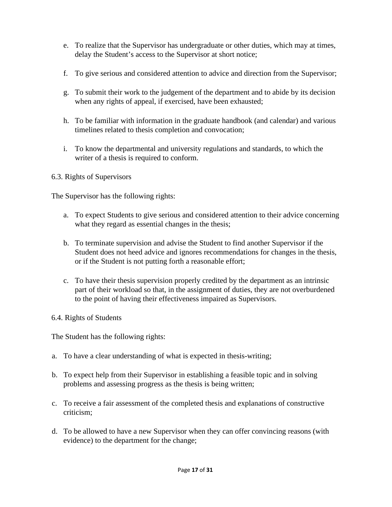- e. To realize that the Supervisor has undergraduate or other duties, which may at times, delay the Student's access to the Supervisor at short notice;
- f. To give serious and considered attention to advice and direction from the Supervisor;
- g. To submit their work to the judgement of the department and to abide by its decision when any rights of appeal, if exercised, have been exhausted;
- h. To be familiar with information in the graduate handbook (and calendar) and various timelines related to thesis completion and convocation;
- i. To know the departmental and university regulations and standards, to which the writer of a thesis is required to conform.

#### 6.3. Rights of Supervisors

The Supervisor has the following rights:

- a. To expect Students to give serious and considered attention to their advice concerning what they regard as essential changes in the thesis;
- b. To terminate supervision and advise the Student to find another Supervisor if the Student does not heed advice and ignores recommendations for changes in the thesis, or if the Student is not putting forth a reasonable effort;
- c. To have their thesis supervision properly credited by the department as an intrinsic part of their workload so that, in the assignment of duties, they are not overburdened to the point of having their effectiveness impaired as Supervisors.
- 6.4. Rights of Students

The Student has the following rights:

- a. To have a clear understanding of what is expected in thesis-writing;
- b. To expect help from their Supervisor in establishing a feasible topic and in solving problems and assessing progress as the thesis is being written;
- c. To receive a fair assessment of the completed thesis and explanations of constructive criticism;
- d. To be allowed to have a new Supervisor when they can offer convincing reasons (with evidence) to the department for the change;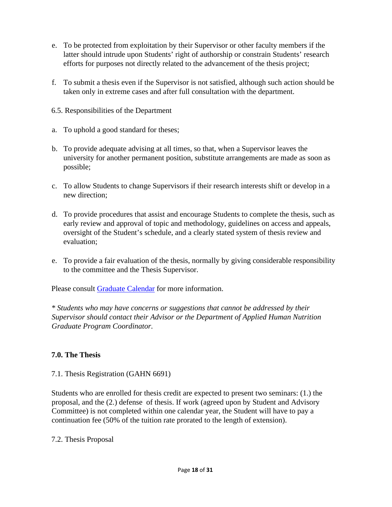- e. To be protected from exploitation by their Supervisor or other faculty members if the latter should intrude upon Students' right of authorship or constrain Students' research efforts for purposes not directly related to the advancement of the thesis project;
- f. To submit a thesis even if the Supervisor is not satisfied, although such action should be taken only in extreme cases and after full consultation with the department.
- 6.5. Responsibilities of the Department
- a. To uphold a good standard for theses;
- b. To provide adequate advising at all times, so that, when a Supervisor leaves the university for another permanent position, substitute arrangements are made as soon as possible;
- c. To allow Students to change Supervisors if their research interests shift or develop in a new direction;
- d. To provide procedures that assist and encourage Students to complete the thesis, such as early review and approval of topic and methodology, guidelines on access and appeals, oversight of the Student's schedule, and a clearly stated system of thesis review and evaluation;
- e. To provide a fair evaluation of the thesis, normally by giving considerable responsibility to the committee and the Thesis Supervisor.

Please consult [Graduate Calendar](http://www.msvu.ca/en/home/programsdepartments/academiccalendars/graduatecalendar/default.aspx) [f](http://www.msvu.ca/en/home/programsdepartments/academiccalendars/graduatecalendar/default.aspx)or more information.

*\* Students who may have concerns or suggestions that cannot be addressed by their Supervisor should contact their Advisor or the Department of Applied Human Nutrition Graduate Program Coordinator.* 

#### **7.0. The Thesis**

#### 7.1. Thesis Registration (GAHN 6691)

Students who are enrolled for thesis credit are expected to present two seminars: (1.) the proposal, and the (2.) defense of thesis. If work (agreed upon by Student and Advisory Committee) is not completed within one calendar year, the Student will have to pay a continuation fee (50% of the tuition rate prorated to the length of extension).

#### 7.2. Thesis Proposal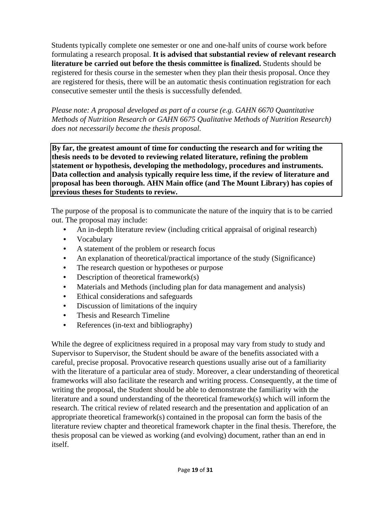Students typically complete one semester or one and one-half units of course work before formulating a research proposal. **It is advised that substantial review of relevant research literature be carried out before the thesis committee is finalized.** Students should be registered for thesis course in the semester when they plan their thesis proposal. Once they are registered for thesis, there will be an automatic thesis continuation registration for each consecutive semester until the thesis is successfully defended.

*Please note: A proposal developed as part of a course (e.g. GAHN 6670 Quantitative Methods of Nutrition Research or GAHN 6675 Qualitative Methods of Nutrition Research) does not necessarily become the thesis proposal.* 

**By far, the greatest amount of time for conducting the research and for writing the thesis needs to be devoted to reviewing related literature, refining the problem statement or hypothesis, developing the methodology, procedures and instruments. Data collection and analysis typically require less time, if the review of literature and proposal has been thorough. AHN Main office (and The Mount Library) has copies of previous theses for Students to review.** 

The purpose of the proposal is to communicate the nature of the inquiry that is to be carried out. The proposal may include:

- An in-depth literature review (including critical appraisal of original research)
- Vocabulary
- A statement of the problem or research focus
- An explanation of theoretical/practical importance of the study (Significance)
- The research question or hypotheses or purpose
- Description of theoretical framework $(s)$
- Materials and Methods (including plan for data management and analysis)
- Ethical considerations and safeguards
- Discussion of limitations of the inquiry
- Thesis and Research Timeline
- References (in-text and bibliography)

While the degree of explicitness required in a proposal may vary from study to study and Supervisor to Supervisor, the Student should be aware of the benefits associated with a careful, precise proposal. Provocative research questions usually arise out of a familiarity with the literature of a particular area of study. Moreover, a clear understanding of theoretical frameworks will also facilitate the research and writing process. Consequently, at the time of writing the proposal, the Student should be able to demonstrate the familiarity with the literature and a sound understanding of the theoretical framework(s) which will inform the research. The critical review of related research and the presentation and application of an appropriate theoretical framework(s) contained in the proposal can form the basis of the literature review chapter and theoretical framework chapter in the final thesis. Therefore, the thesis proposal can be viewed as working (and evolving) document, rather than an end in itself.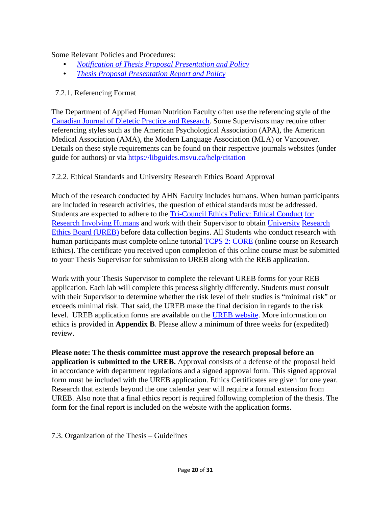Some Relevant Policies and Procedures:

- *[Notification of Thesis Proposal Presentation and Policy](https://www.msvu.ca/wp-content/uploads/2020/05/Notification20of20Thesis20Proposal20Presentation20and20Policy20-REVISED20March202018.pdf)*
- *[Thesis Proposal Presentation Report and Policy](https://www.msvu.ca/wp-content/uploads/2020/05/Thesis20Proposal20Presentation20Report20and20Policy20-20REVISED20March202018.pdf)*

## 7.2.1. Referencing Format

The Department of Applied Human Nutrition Faculty often use the referencing style of the [Canadian Journal of Dietetic Practice and Research](https://dcjournal.ca/page/authors-cjdpr/guide)[.](ttp://www.dietitians.ca/Downloadable-Content/Public/guide_for_authors.aspx) Some Supervisors may require other referencing styles such as the American Psychological Association (APA), the American Medical Association (AMA), the Modern Language Association (MLA) or Vancouver. Details on these style requirements can be found on their respective journals websites (under guide for authors) or via<https://libguides.msvu.ca/help/citation>

## 7.2.2. Ethical Standards and University Research Ethics Board Approval

Much of the research conducted by AHN Faculty includes humans. When human participants are included in research activities, the question of ethical standards must be addressed. Students are expected to adhere to the [Tri-](http://www.pre.ethics.gc.ca/eng/policy-politique/initiatives/tcps2-eptc2/Default/)[Council Ethics Policy: Ethical Conduct](https://ethics.gc.ca/eng/education_tutorial-didacticiel.html) [for](http://www.pre.ethics.gc.ca/eng/policy-politique/initiatives/tcps2-eptc2/Default/)  [Research Involving Humans](http://www.pre.ethics.gc.ca/eng/policy-politique/initiatives/tcps2-eptc2/Default/) [a](http://www.pre.ethics.gc.ca/eng/policy-politique/initiatives/tcps2-eptc2/Default/)nd work with their Supervisor to obtain [University](http://www.msvu.ca/en/home/research/researchethics/default.aspx) [Research](http://www.msvu.ca/en/home/research/researchethics/default.aspx)  [Ethics Board \(UREB\)](http://www.msvu.ca/en/home/research/researchethics/default.aspx) before data collection begins. All Students who conduct research with human participants must complete online tutorial [TCPS 2: CORE](https://tcps2core.ca/welcome) [\(](https://tcps2core.ca/welcome)online course on Research Ethics). The certificate you received upon completion of this online course must be submitted to your Thesis Supervisor for submission to UREB along with the REB application.

Work with your Thesis Supervisor to complete the relevant UREB forms for your REB application. Each lab will complete this process slightly differently. Students must consult with their Supervisor to determine whether the risk level of their studies is "minimal risk" or exceeds minimal risk. That said, the UREB make the final decision in regards to the risk level. UREB application forms are available on the [UREB](http://www.msvu.ca/en/home/research/researchethics/forms.aspx.) [website](https://www.msvu.ca/research-at-the-mount/research-ethics/forms-and-applications/)[.](http://www.msvu.ca/en/home/research/researchethics/forms.aspx.) More information on ethics is provided in **Appendix B**. Please allow a minimum of three weeks for (expedited) review.

**Please note: The thesis committee must approve the research proposal before an application is submitted to the UREB.** Approval consists of a defense of the proposal held in accordance with department regulations and a signed approval form. This signed approval form must be included with the UREB application. Ethics Certificates are given for one year. Research that extends beyond the one calendar year will require a formal extension from UREB. Also note that a final ethics report is required following completion of the thesis. The form for the final report is included on the website with the application forms.

7.3. Organization of the Thesis – Guidelines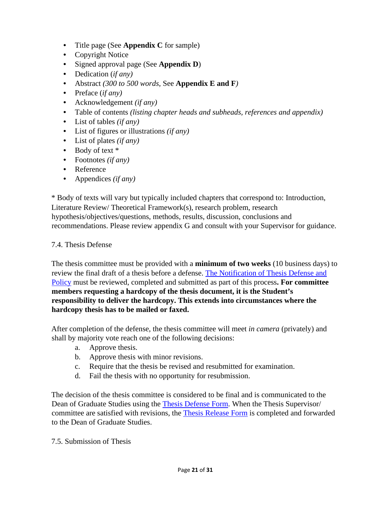- Title page (See **Appendix C** for sample)
- Copyright Notice
- Signed approval page (See **Appendix D**)
- Dedication (*if any)*
- Abstract *(300 to 500 words*, See **Appendix E and F***)*
- Preface (*if any)*
- Acknowledgement *(if any)*
- Table of contents *(listing chapter heads and subheads, references and appendix)*
- List of tables *(if any)*
- List of figures or illustrations *(if any)*
- List of plates *(if any)*
- Body of text  $*$
- Footnotes *(if any)*
- Reference
- Appendices *(if any)*

\* Body of texts will vary but typically included chapters that correspond to: Introduction, Literature Review/ Theoretical Framework(s), research problem, research hypothesis/objectives/questions, methods, results, discussion, conclusions and recommendations. Please review appendix G and consult with your Supervisor for guidance.

## 7.4. Thesis Defense

The thesis committee must be provided with a **minimum of two weeks** (10 business days) to review the final draft of a thesis before a defense. [The Notification of Thesis Defense and](http://www.msvu.ca/en/home/programsdepartments/graduatestudiesatthemount/thesisrequirementforms.aspx) [Policy](http://www.msvu.ca/en/home/programsdepartments/graduatestudiesatthemount/thesisrequirementforms.aspx) [m](http://www.msvu.ca/en/home/programsdepartments/graduatestudiesatthemount/thesisrequirementforms.aspx)ust be reviewed, completed and submitted as part of this process**. For committee members requesting a hardcopy of the thesis document, it is the Student's responsibility to deliver the hardcopy. This extends into circumstances where the hardcopy thesis has to be mailed or faxed.** 

After completion of the defense, the thesis committee will meet *in camera* (privately) and shall by majority vote reach one of the following decisions:

- a. Approve thesis.
- b. Approve thesis with minor revisions.
- c. Require that the thesis be revised and resubmitted for examination.
- d. Fail the thesis with no opportunity for resubmission.

The decision of the thesis committee is considered to be final and is communicated to the Dean of Graduate Studies using the **Thesis Defense Form**[.](http://www.msvu.ca/site/media/msvu/Documents/Thesis%20Defense%20%20Report%20Form%20and%20Policy%20-%20W2015(1).pdf) When the Thesis Supervisor/ committee are satisfied with revisions, the [Thesis Release Form](https://www.msvu.ca/wp-content/uploads/2020/05/Thesis20Release20Form20and20Policy20-20Revised20March202018.pdf) [i](http://www.msvu.ca/site/media/msvu/Documents/Thesis%20Release%20Form%20and%20Policy%20-%20Revised%20W2015(1).pdf)s completed and forwarded to the Dean of Graduate Studies.

7.5. Submission of Thesis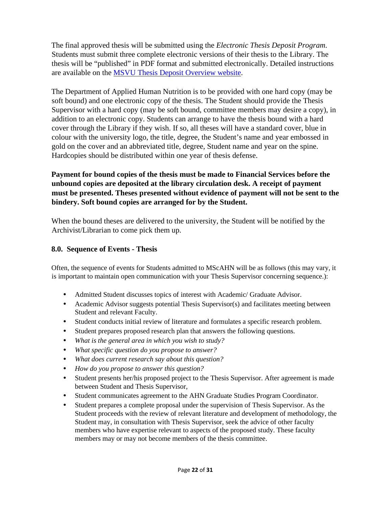The final approved thesis will be submitted using the *Electronic Thesis Deposit Program*. Students must submit three complete electronic versions of their thesis to the Library. The thesis will be "published" in PDF format and submitted electronically. Detailed instructions are available on the [MSVU Thesis Deposit Overview website](https://libguides.msvu.ca/c.php?g=702786&p=4995736)[.](http://www.msvu.ca/en/home/library/universityarchives/ethesisdeposit.aspx.) 

The Department of Applied Human Nutrition is to be provided with one hard copy (may be soft bound) and one electronic copy of the thesis. The Student should provide the Thesis Supervisor with a hard copy (may be soft bound, committee members may desire a copy), in addition to an electronic copy. Students can arrange to have the thesis bound with a hard cover through the Library if they wish. If so, all theses will have a standard cover, blue in colour with the university logo, the title, degree, the Student's name and year embossed in gold on the cover and an abbreviated title, degree, Student name and year on the spine. Hardcopies should be distributed within one year of thesis defense.

## **Payment for bound copies of the thesis must be made to Financial Services before the unbound copies are deposited at the library circulation desk. A receipt of payment must be presented. Theses presented without evidence of payment will not be sent to the bindery. Soft bound copies are arranged for by the Student.**

When the bound theses are delivered to the university, the Student will be notified by the Archivist/Librarian to come pick them up.

#### **8.0. Sequence of Events - Thesis**

Often, the sequence of events for Students admitted to MScAHN will be as follows (this may vary, it is important to maintain open communication with your Thesis Supervisor concerning sequence.):

- Admitted Student discusses topics of interest with Academic/ Graduate Advisor.
- Academic Advisor suggests potential Thesis Supervisor(s) and facilitates meeting between Student and relevant Faculty.
- Student conducts initial review of literature and formulates a specific research problem.
- Student prepares proposed research plan that answers the following questions.
- *What is the general area in which you wish to study?*
- *What specific question do you propose to answer?*
- *What does current research say about this question?*
- *How do you propose to answer this question?*
- Student presents her/his proposed project to the Thesis Supervisor. After agreement is made between Student and Thesis Supervisor,
- Student communicates agreement to the AHN Graduate Studies Program Coordinator.
- Student prepares a complete proposal under the supervision of Thesis Supervisor. As the Student proceeds with the review of relevant literature and development of methodology, the Student may, in consultation with Thesis Supervisor, seek the advice of other faculty members who have expertise relevant to aspects of the proposed study. These faculty members may or may not become members of the thesis committee.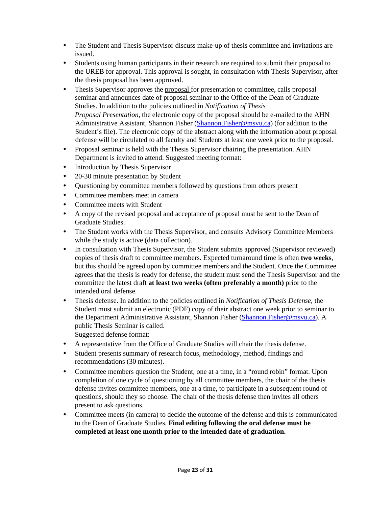- The Student and Thesis Supervisor discuss make-up of thesis committee and invitations are issued.
- Students using human participants in their research are required to submit their proposal to the UREB for approval. This approval is sought, in consultation with Thesis Supervisor, after the thesis proposal has been approved.
- Thesis Supervisor approves the proposal for presentation to committee, calls proposal seminar and announces date of proposal seminar to the Office of the Dean of Graduate Studies. In addition to the policies outlined in *Notification of Thesis Proposal Presentation*, the electronic copy of the proposal should be e-mailed to the AHN Administrative Assistant, Shannon Fisher (Shannon.Fisher@msvu.ca) (for addition to the Student's file). The electronic copy of the abstract along with the information about proposal defense will be circulated to all faculty and Students at least one week prior to the proposal.
- Proposal seminar is held with the Thesis Supervisor chairing the presentation. AHN Department is invited to attend. Suggested meeting format:
- Introduction by Thesis Supervisor
- 20-30 minute presentation by Student
- Questioning by committee members followed by questions from others present
- Committee members meet in camera
- Committee meets with Student
- A copy of the revised proposal and acceptance of proposal must be sent to the Dean of Graduate Studies.
- The Student works with the Thesis Supervisor, and consults Advisory Committee Members while the study is active (data collection).
- In consultation with Thesis Supervisor, the Student submits approved (Supervisor reviewed) copies of thesis draft to committee members. Expected turnaround time is often **two weeks**, but this should be agreed upon by committee members and the Student. Once the Committee agrees that the thesis is ready for defense, the student must send the Thesis Supervisor and the committee the latest draft **at least two weeks (often preferably a month)** prior to the intended oral defense.
- Thesis defense. In addition to the policies outlined in *Notification of Thesis Defense*, the Student must submit an electronic (PDF) copy of their abstract one week prior to seminar to the Department Administrative Assistant, Shannon Fisher (Shannon.Fisher@msvu.ca). A public Thesis Seminar is called. Suggested defense format:
- A representative from the Office of Graduate Studies will chair the thesis defense.
- Student presents summary of research focus, methodology, method, findings and recommendations (30 minutes).
- Committee members question the Student, one at a time, in a "round robin" format. Upon completion of one cycle of questioning by all committee members, the chair of the thesis defense invites committee members, one at a time, to participate in a subsequent round of questions, should they so choose. The chair of the thesis defense then invites all others present to ask questions.
- Committee meets (in camera) to decide the outcome of the defense and this is communicated to the Dean of Graduate Studies. **Final editing following the oral defense must be completed at least one month prior to the intended date of graduation.**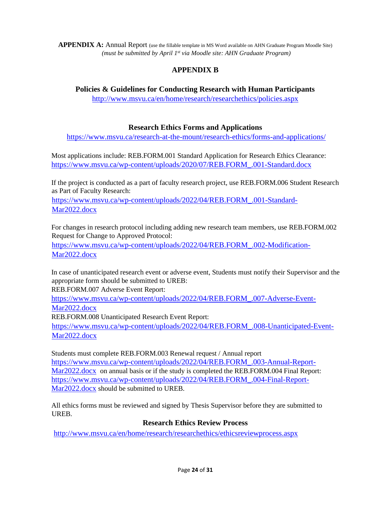**APPENDIX A:** Annual Report (use the fillable template in MS Word available on AHN Graduate Program Moodle Site) *(must be submitted by April 1st via Moodle site: AHN Graduate Program)*

# **APPENDIX B**

## **Policies & Guidelines for Conducting Research with Human Participants**

<http://www.msvu.ca/en/home/research/researchethics/policies.aspx>

## **Research Ethics Forms and Applications**

<https://www.msvu.ca/research-at-the-mount/research-ethics/forms-and-applications/>

Most applications include: REB.FORM.001 Standard Application for Research Ethics Clearance: [https://www.msvu.ca/wp-content/uploads/2020/07/REB.FORM\\_.001-Standard.docx](https://www.msvu.ca/wp-content/uploads/2020/07/REB.FORM_.001-Standard.docx)

If the project is conducted as a part of faculty research project, use REB.FORM.006 Student Research as Part of Faculty Research:

[https://www.msvu.ca/wp-content/uploads/2022/04/REB.FORM\\_.001-Standard-](https://www.msvu.ca/wp-content/uploads/2022/04/REB.FORM_.001-Standard-Mar2022.docx)Mar<sub>2022</sub>.docx

For changes in research protocol including adding new research team members, use REB.FORM.002 Request for Change to Approved Protocol: [https://www.msvu.ca/wp-content/uploads/2022/04/REB.FORM\\_.002-Modification-](https://www.msvu.ca/wp-content/uploads/2022/04/REB.FORM_.002-Modification-Mar2022.docx)

Mar2022.docx

In case of unanticipated research event or adverse event, Students must notify their Supervisor and the appropriate form should be submitted to UREB:

REB.FORM.007 Adverse Event Report:

[https://www.msvu.ca/wp-content/uploads/2022/04/REB.FORM\\_.007-Adverse-Event-](https://www.msvu.ca/wp-content/uploads/2022/04/REB.FORM_.007-Adverse-Event-Mar2022.docx)Mar2022.docx

REB.FORM.008 Unanticipated Research Event Report:

[https://www.msvu.ca/wp-content/uploads/2022/04/REB.FORM\\_.008-Unanticipated-Event-](https://www.msvu.ca/wp-content/uploads/2022/04/REB.FORM_.008-Unanticipated-Event-Mar2022.docx)Mar<sub>2022</sub>.docx

Students must complete REB.FORM.003 Renewal request / Annual report [https://www.msvu.ca/wp-content/uploads/2022/04/REB.FORM\\_.003-Annual-Report-](https://www.msvu.ca/wp-content/uploads/2022/04/REB.FORM_.003-Annual-Report-Mar2022.docx)[Mar2022.docx](https://www.msvu.ca/wp-content/uploads/2022/04/REB.FORM_.003-Annual-Report-Mar2022.docx) on annual basis or if the study is completed the REB.FORM.004 Final Report: [https://www.msvu.ca/wp-content/uploads/2022/04/REB.FORM\\_.004-Final-Report-](https://www.msvu.ca/wp-content/uploads/2022/04/REB.FORM_.004-Final-Report-Mar2022.docx)Mar<sub>2022</sub>.docx should be submitted to UREB.

All ethics forms must be reviewed and signed by Thesis Supervisor before they are submitted to UREB.

## **Research Ethics Review Process**

<http://www.msvu.ca/en/home/research/researchethics/ethicsreviewprocess.aspx>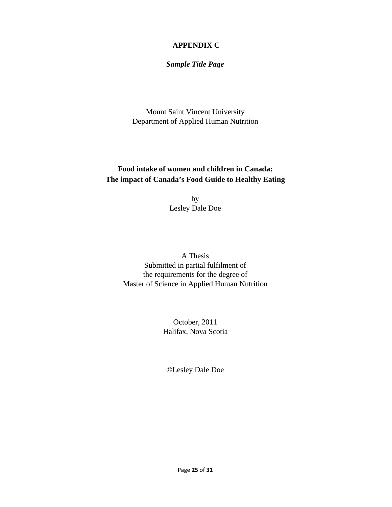## **APPENDIX C**

*Sample Title Page*

 Mount Saint Vincent University Department of Applied Human Nutrition

# **Food intake of women and children in Canada: The impact of Canada's Food Guide to Healthy Eating**

by Lesley Dale Doe

A Thesis Submitted in partial fulfilment of the requirements for the degree of Master of Science in Applied Human Nutrition

> October, 2011 Halifax, Nova Scotia

©Lesley Dale Doe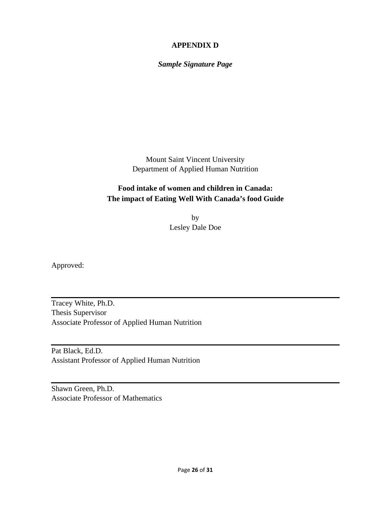## **APPENDIX D**

*Sample Signature Page* 

 Mount Saint Vincent University Department of Applied Human Nutrition

# **Food intake of women and children in Canada: The impact of Eating Well With Canada's food Guide**

 by Lesley Dale Doe

Approved:

Tracey White, Ph.D. Thesis Supervisor Associate Professor of Applied Human Nutrition

Pat Black, Ed.D. Assistant Professor of Applied Human Nutrition

Shawn Green, Ph.D. Associate Professor of Mathematics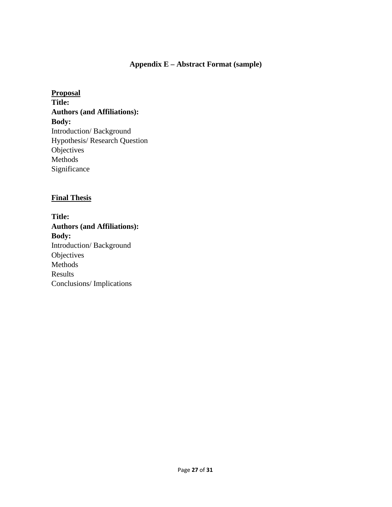## **Appendix E – Abstract Format (sample)**

**Proposal Title: Authors (and Affiliations): Body:**  Introduction/ Background Hypothesis/ Research Question **Objectives** Methods Significance

#### **Final Thesis**

**Title: Authors (and Affiliations): Body:**  Introduction/ Background **Objectives** Methods Results Conclusions/ Implications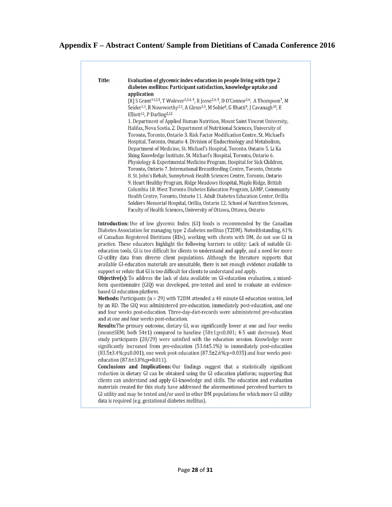## **Appendix F – Abstract Content/ Sample from Dietitians of Canada Conference 2016**

| Title: | Evaluation of glycemic index education in people living with type 2<br>diabetes mellitus: Participant satisfaction, knowledge uptake and<br>application                                                                                                                                                                                                                              |
|--------|--------------------------------------------------------------------------------------------------------------------------------------------------------------------------------------------------------------------------------------------------------------------------------------------------------------------------------------------------------------------------------------|
|        | [R] S Grant*1,2,3, T Wolever <sup>2,3,4,5</sup> , R Josse <sup>2,4,5</sup> , D O'Connor <sup>2,6</sup> , A Thompson <sup>7</sup> , M<br>Seider <sup>2,3</sup> , R Noseworthy <sup>2,3</sup> , A Glenn <sup>2,3</sup> , M Sobie <sup>8</sup> , G Bhatti <sup>9</sup> , J Cavanagh <sup>10</sup> , E<br>Elliott <sup>11</sup> , P Darling <sup>2,12</sup>                              |
|        | 1. Department of Applied Human Nutrition, Mount Saint Vincent University,<br>Halifax, Nova Scotia. 2. Department of Nutritional Sciences, University of                                                                                                                                                                                                                              |
|        | Toronto, Toronto, Ontario 3. Risk Factor Modification Centre, St. Michael's<br>Hospital, Toronto, Ontario 4. Division of Endocrinology and Metabolism,<br>Department of Medicine, St. Michael's Hospital, Toronto, Ontario 5. Li Ka                                                                                                                                                  |
|        | Shing Knowledge Institute, St. Michael's Hospital, Toronto, Ontario 6.<br>Physiology & Experimental Medicine Program, Hospital for Sick Children,                                                                                                                                                                                                                                    |
|        | Toronto, Ontario 7. International Breastfeeding Centre, Toronto, Ontario<br>8. St. John's Rehab, Sunnybrook Health Sciences Centre, Toronto, Ontario                                                                                                                                                                                                                                 |
|        | 9. Heart Healthy Program, Ridge Meadows Hospital, Maple Ridge, British<br>Columbia 10. West Toronto Diabetes Education Program, LAMP, Community<br>Health Centre, Toronto, Ontario 11. Adult Diabetes Education Center, Orillia                                                                                                                                                      |
|        | Soldiers Memorial Hospital, Orillia, Ontario 12. School of Nutrition Sciences,<br>Faculty of Health Sciences, University of Ottawa, Ottawa, Ontario                                                                                                                                                                                                                                  |
|        |                                                                                                                                                                                                                                                                                                                                                                                      |
|        | Introduction: Use of low glycemic Index (GI) foods is recommended by the Canadian<br>Diabetes Association for managing type 2 diabetes mellitus (T2DM). Notwithstanding, 61%<br>of Canadian Registered Dietitians (RDs), working with clients with DM, do not use GI in                                                                                                              |
|        | practice. These educators highlight the following barriers to utility: Lack of suitable GI-<br>education tools, GI is too difficult for clients to understand and apply, and a need for more<br>GI-utility data from diverse client populations. Although the literature supports that<br>available GI-education materials are unsuitable, there is not enough evidence available to |
|        | support or refute that GI is too difficult for clients to understand and apply.<br>Objective(s): To address the lack of data available on GI-education evaluation, a mixed-<br>form questionnaire (GIQ) was developed, pre-tested and used to evaluate an evidence-                                                                                                                  |
|        | based GI education platform.<br>Methods: Participants $(n = 29)$ with T2DM attended a 40 minute GI education session, led<br>by an RD. The GIQ was administered pre-education, immediately post-education, and one                                                                                                                                                                   |
|        | and four weeks post-education. Three-day-diet-records were administered pre-education<br>and at one and four weeks post-education.                                                                                                                                                                                                                                                   |
|        | Results: The primary outcome, dietary GI, was significantly lower at one and four weeks<br>(mean±SEM; both 54±1) compared to baseline (58±1;p≤0.001; 4-5 unit decrease). Most<br>study participants (28/29) were satisfied with the education session. Knowledge score                                                                                                               |
|        | significantly increased from pre-education (53.6±5.1%) to immediately post-education<br>$(83.5\pm3.4\%; p \le 0.001)$ , one week post-education $(87.5\pm2.6\%; p = 0.035)$ and four weeks post-                                                                                                                                                                                     |
|        | education (87.6±3.8%;p=0.011).<br>Conclusions and Implications: Our findings suggest that a statistically significant<br>reduction in dietary GI can be obtained using the GI education platform; supporting that<br>clients can understand and apply GI-knowledge and skills. The education and evaluation                                                                          |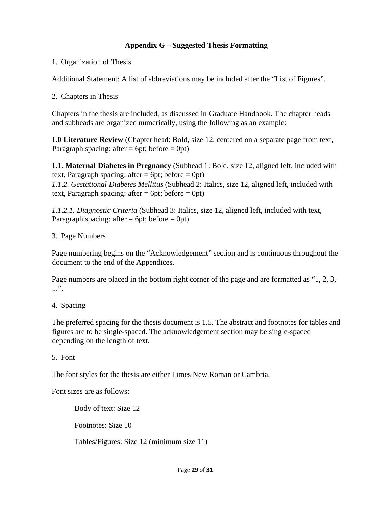## **Appendix G – Suggested Thesis Formatting**

1. Organization of Thesis

Additional Statement: A list of abbreviations may be included after the "List of Figures".

2. Chapters in Thesis

Chapters in the thesis are included, as discussed in Graduate Handbook. The chapter heads and subheads are organized numerically, using the following as an example:

**1.0 Literature Review** (Chapter head: Bold, size 12, centered on a separate page from text, Paragraph spacing: after  $= 6pt$ ; before  $= 0pt$ )

**1.1. Maternal Diabetes in Pregnancy** (Subhead 1: Bold, size 12, aligned left, included with text, Paragraph spacing: after  $= 6pt$ ; before  $= 0pt$ )

*1.1.2. Gestational Diabetes Mellitus* (Subhead 2: Italics, size 12, aligned left, included with text, Paragraph spacing: after  $= 6pt$ ; before  $= 0pt$ )

*1.1.2.1. Diagnostic Criteria* (Subhead 3: Italics, size 12, aligned left, included with text, Paragraph spacing: after  $= 6pt$ ; before  $= 0pt$ )

3. Page Numbers

Page numbering begins on the "Acknowledgement" section and is continuous throughout the document to the end of the Appendices.

Page numbers are placed in the bottom right corner of the page and are formatted as "1, 2, 3, ...".

4. Spacing

The preferred spacing for the thesis document is 1.5. The abstract and footnotes for tables and figures are to be single-spaced. The acknowledgement section may be single-spaced depending on the length of text.

5. Font

The font styles for the thesis are either Times New Roman or Cambria.

Font sizes are as follows:

Body of text: Size 12

Footnotes: Size 10

Tables/Figures: Size 12 (minimum size 11)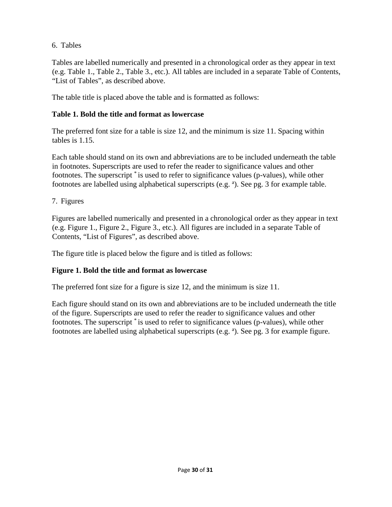## 6. Tables

Tables are labelled numerically and presented in a chronological order as they appear in text (e.g. Table 1., Table 2., Table 3., etc.). All tables are included in a separate Table of Contents, "List of Tables", as described above.

The table title is placed above the table and is formatted as follows:

## **Table 1. Bold the title and format as lowercase**

The preferred font size for a table is size 12, and the minimum is size 11. Spacing within tables is 1.15.

Each table should stand on its own and abbreviations are to be included underneath the table in footnotes. Superscripts are used to refer the reader to significance values and other footnotes. The superscript \* is used to refer to significance values (p-values), while other footnotes are labelled using alphabetical superscripts (e.g. <sup>a</sup>). See pg. 3 for example table.

## 7. Figures

Figures are labelled numerically and presented in a chronological order as they appear in text (e.g. Figure 1., Figure 2., Figure 3., etc.). All figures are included in a separate Table of Contents, "List of Figures", as described above.

The figure title is placed below the figure and is titled as follows:

## **Figure 1. Bold the title and format as lowercase**

The preferred font size for a figure is size 12, and the minimum is size 11.

Each figure should stand on its own and abbreviations are to be included underneath the title of the figure. Superscripts are used to refer the reader to significance values and other footnotes. The superscript \* is used to refer to significance values (p-values), while other footnotes are labelled using alphabetical superscripts (e.g. <sup>a</sup>). See pg. 3 for example figure.